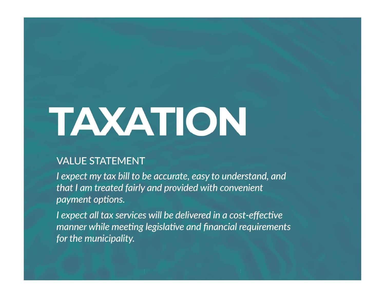# TAXATION

payment options.

e accurate, easy to understand, and<br>and provided with convenient<br>s will be delivered in a cost-effective<br>legislative and financial requirements<br>and financial requirements for the municipality.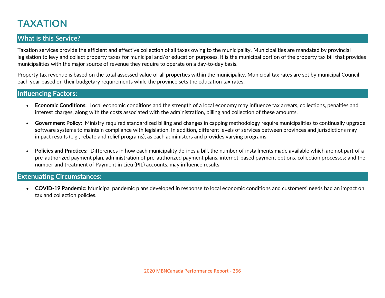# TAXATION

#### What is this Service?

Taxation services provide the efficient and effective collection of all taxes owing to the municipality. Municipalities are mandated by provincial legislation to levy and collect property taxes for municipal and/or education purposes. It is the municipal portion of the property tax bill that provides municipalities with the major source of revenue they require to operate on a day-to-day basis.

Property tax revenue is based on the total assessed value of all properties within the municipality. Municipal tax rates are set by municipal Council each year based on their budgetary requirements while the province sets the education tax rates.

#### Influencing Factors:

- Economic Conditions: Local economic conditions and the strength of a local economy may influence tax arrears, collections, penalties and interest charges, along with the costs associated with the administration, billing and collection of these amounts.
- Government Policy: Ministry required standardized billing and changes in capping methodology require municipalities to continually upgrade software systems to maintain compliance with legislation. In addition, different levels of services between provinces and jurisdictions may impact results (e.g., rebate and relief programs), as each administers and provides varying programs.
- Policies and Practices: Differences in how each municipality defines a bill, the number of installments made available which are not part of a pre-authorized payment plan, administration of pre-authorized payment plans, internet-based payment options, collection processes; and the number and treatment of Payment in Lieu (PIL) accounts, may influence results.

#### Extenuating Circumstances:

COVID-19 Pandemic: Municipal pandemic plans developed in response to local economic conditions and customers' needs had an impact on tax and collection policies.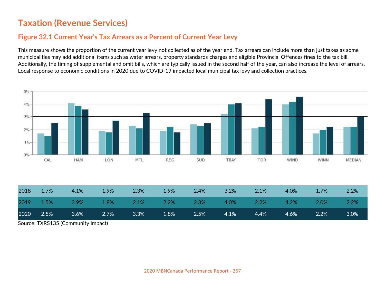#### Figure 32.1 Current Year's Tax Arrears as a Percent of Current Year Levy

This measure shows the proportion of the current year levy not collected as of the year end. Tax arrears can include more than just taxes as some municipalities may add additional items such as water arrears, property standards charges and eligible Provincial Offences fines to the tax bill. Additionally, the timing of supplemental and omit bills, which are typically issued in the second half of the year, can also increase the level of arrears. Local response to economic conditions in 2020 due to COVID-19 impacted local municipal tax levy and collection practices.



Source: TXRS135 (Community Impact)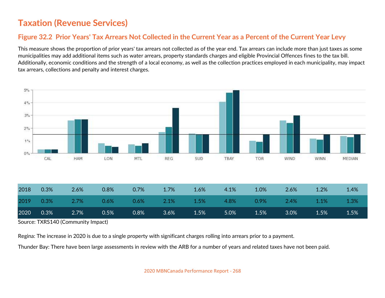### Figure 32.2 Prior Years' Tax Arrears Not Collected in the Current Year as a Percent of the Current Year Levy

This measure shows the proportion of prior years' tax arrears not collected as of the year end. Tax arrears can include more than just taxes as some municipalities may add additional items such as water arrears, property standards charges and eligible Provincial Offences fines to the tax bill. Additionally, economic conditions and the strength of a local economy, as well as the collection practices employed in each municipality, may impact tax arrears, collections and penalty and interest charges.



| $\sim$ $\sim$ $\sim$ | $\sim$ $\sim$ $\sim$ $\sim$ $\sim$<br>.<br>$\cdot$ |                   |                          |                  |              |          |          |                               |         |                         |                             |  |
|----------------------|----------------------------------------------------|-------------------|--------------------------|------------------|--------------|----------|----------|-------------------------------|---------|-------------------------|-----------------------------|--|
| 2020                 | 0.3%                                               | 2.7%              | 0.5%                     | 0.8%             | 3.6%         | 1.5%     | 5.0%     | 1.5%                          | 3.0%    | 1.5%                    | $1.5\%$                     |  |
| 2019                 | 0.3%                                               | 2.7%              | 0.6%                     | 0.6%             | 2.1%         | 1.5%     | 4.8%     | 0.9%                          | $2.4\%$ | $.1\%$                  | 1.3%                        |  |
| ----                 | $\sim\!\!\sim\!$                                   | $\sim$ . $\sim$ . | $\sim$ . $\sim$ . $\sim$ | $\sim$ ., $\sim$ | $+ \cdot 70$ | $\ldots$ | $\cdots$ | $\mathbf{r} \cdot \mathbf{r}$ | $\sim$  | $\pm \cdot \frac{1}{2}$ | $\mathbf{r}$ . $\mathbf{r}$ |  |

Source: TXRS140 (Community Impact)

Regina: The increase in 2020 is due to a single property with significant charges rolling into arrears prior to a payment.

Thunder Bay: There have been large assessments in review with the ARB for a number of years and related taxes have not been paid.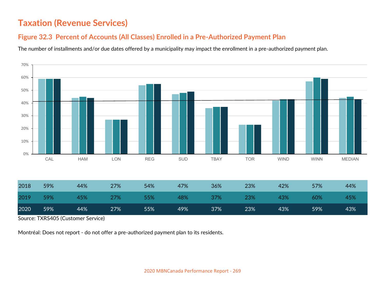### Figure 32.3 Percent of Accounts (All Classes) Enrolled in a Pre-Authorized Payment Plan

The number of installments and/or due dates offered by a municipality may impact the enrollment in a pre-authorized payment plan.



Source: TXRS405 (Customer Service)

Montréal: Does not report - do not offer a pre-authorized payment plan to its residents.